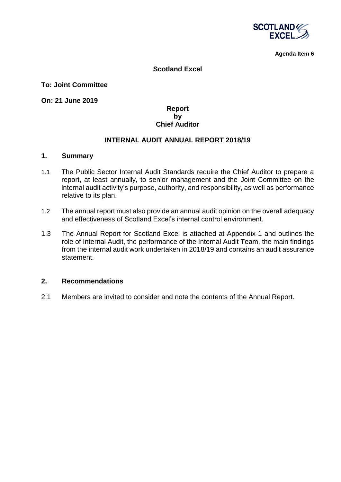

**Agenda Item 6**

## **Scotland Excel**

**To: Joint Committee** 

**On: 21 June 2019**

## **Report by Chief Auditor**

### **INTERNAL AUDIT ANNUAL REPORT 2018/19**

#### **1. Summary**

- 1.1 The Public Sector Internal Audit Standards require the Chief Auditor to prepare a report, at least annually, to senior management and the Joint Committee on the internal audit activity's purpose, authority, and responsibility, as well as performance relative to its plan.
- 1.2 The annual report must also provide an annual audit opinion on the overall adequacy and effectiveness of Scotland Excel's internal control environment.
- 1.3 The Annual Report for Scotland Excel is attached at Appendix 1 and outlines the role of Internal Audit, the performance of the Internal Audit Team, the main findings from the internal audit work undertaken in 2018/19 and contains an audit assurance statement.

#### **2. Recommendations**

2.1 Members are invited to consider and note the contents of the Annual Report.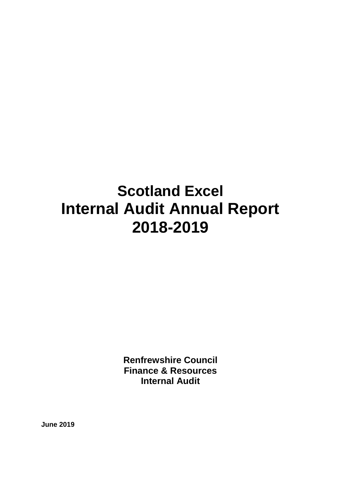# **Scotland Excel Internal Audit Annual Report 2018-2019**

**Renfrewshire Council Finance & Resources Internal Audit**

**June 2019**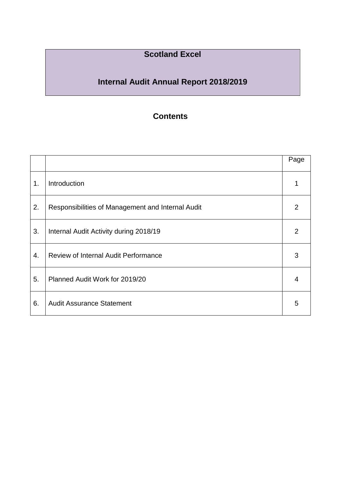# **Scotland Excel**

# **Internal Audit Annual Report 2018/2019**

# **Contents**

|    |                                                   | Page           |
|----|---------------------------------------------------|----------------|
| 1. | Introduction                                      |                |
| 2. | Responsibilities of Management and Internal Audit | 2              |
| 3. | Internal Audit Activity during 2018/19            | $\overline{2}$ |
| 4. | <b>Review of Internal Audit Performance</b>       | 3              |
| 5. | Planned Audit Work for 2019/20                    | 4              |
| 6. | <b>Audit Assurance Statement</b>                  | 5              |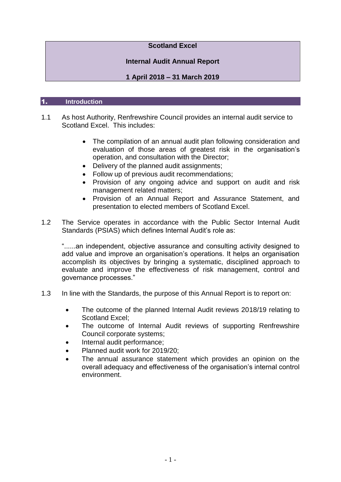# **Scotland Excel**

# **Internal Audit Annual Report**

# **1 April 2018 – 31 March 2019**

#### 1. **Introduction**

- 1.1 As host Authority, Renfrewshire Council provides an internal audit service to Scotland Excel. This includes:
	- The compilation of an annual audit plan following consideration and evaluation of those areas of greatest risk in the organisation's operation, and consultation with the Director;
	- Delivery of the planned audit assignments;
	- Follow up of previous audit recommendations;
	- Provision of any ongoing advice and support on audit and risk management related matters;
	- Provision of an Annual Report and Assurance Statement, and presentation to elected members of Scotland Excel.
- 1.2 The Service operates in accordance with the Public Sector Internal Audit Standards (PSIAS) which defines Internal Audit's role as:

"......an independent, objective assurance and consulting activity designed to add value and improve an organisation's operations. It helps an organisation accomplish its objectives by bringing a systematic, disciplined approach to evaluate and improve the effectiveness of risk management, control and governance processes."

- 1.3 In line with the Standards, the purpose of this Annual Report is to report on:
	- The outcome of the planned Internal Audit reviews 2018/19 relating to Scotland Excel;
	- The outcome of Internal Audit reviews of supporting Renfrewshire Council corporate systems;
	- Internal audit performance;
	- Planned audit work for 2019/20;
	- The annual assurance statement which provides an opinion on the overall adequacy and effectiveness of the organisation's internal control environment.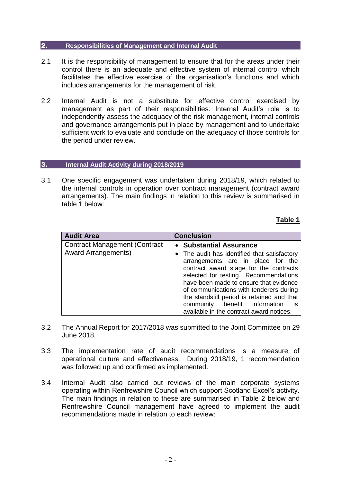#### 2. **Responsibilities of Management and Internal Audit**

- 2.1 It is the responsibility of management to ensure that for the areas under their control there is an adequate and effective system of internal control which facilitates the effective exercise of the organisation's functions and which includes arrangements for the management of risk.
- 2.2 Internal Audit is not a substitute for effective control exercised by management as part of their responsibilities. Internal Audit's role is to independently assess the adequacy of the risk management, internal controls and governance arrangements put in place by management and to undertake sufficient work to evaluate and conclude on the adequacy of those controls for the period under review.

#### 3. **Internal Audit Activity during 2018/2019**

3.1 One specific engagement was undertaken during 2018/19, which related to the internal controls in operation over contract management (contract award arrangements). The main findings in relation to this review is summarised in table 1 below:

# **Table 1**

| <b>Audit Area</b>                                                  | <b>Conclusion</b>                                                                                                                                                                                                                                                                                                                                                                                                       |  |
|--------------------------------------------------------------------|-------------------------------------------------------------------------------------------------------------------------------------------------------------------------------------------------------------------------------------------------------------------------------------------------------------------------------------------------------------------------------------------------------------------------|--|
| <b>Contract Management (Contract</b><br><b>Award Arrangements)</b> | • Substantial Assurance<br>• The audit has identified that satisfactory<br>arrangements are in place for the<br>contract award stage for the contracts<br>selected for testing. Recommendations<br>have been made to ensure that evidence<br>of communications with tenderers during<br>the standstill period is retained and that<br>community benefit information<br>- is<br>available in the contract award notices. |  |

- 3.2 The Annual Report for 2017/2018 was submitted to the Joint Committee on 29 June 2018.
- 3.3 The implementation rate of audit recommendations is a measure of operational culture and effectiveness. During 2018/19, 1 recommendation was followed up and confirmed as implemented.
- 3.4 Internal Audit also carried out reviews of the main corporate systems operating within Renfrewshire Council which support Scotland Excel's activity. The main findings in relation to these are summarised in Table 2 below and Renfrewshire Council management have agreed to implement the audit recommendations made in relation to each review: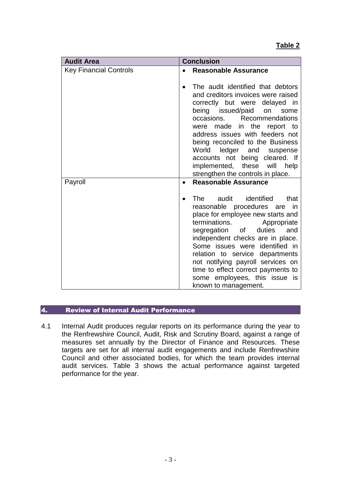| <b>Audit Area</b>             | <b>Conclusion</b>                                                                                                                                                                                                                                                                                                                                                                                                                       |  |
|-------------------------------|-----------------------------------------------------------------------------------------------------------------------------------------------------------------------------------------------------------------------------------------------------------------------------------------------------------------------------------------------------------------------------------------------------------------------------------------|--|
| <b>Key Financial Controls</b> | <b>Reasonable Assurance</b>                                                                                                                                                                                                                                                                                                                                                                                                             |  |
|                               | The audit identified that debtors<br>and creditors invoices were raised<br>correctly but were delayed in<br>being issued/paid<br>on<br>some<br>occasions.<br>Recommendations<br>made in the report to<br>were<br>address issues with feeders not<br>being reconciled to the Business<br>World<br>ledger and<br>suspense<br>accounts not being cleared. If<br>these<br>implemented,<br>will<br>help<br>strengthen the controls in place. |  |
| Payroll                       | <b>Reasonable Assurance</b><br>$\bullet$                                                                                                                                                                                                                                                                                                                                                                                                |  |
|                               | identified<br>audit<br>The<br>that<br>reasonable procedures are<br>in<br>place for employee new starts and<br>terminations.<br>Appropriate<br>segregation of<br>duties<br>and<br>independent checks are in place.<br>Some issues were identified in<br>relation to service departments<br>not notifying payroll services on<br>time to effect correct payments to<br>some employees, this issue is<br>known to management.              |  |

# 4. Review of Internal Audit Performance

4.1 Internal Audit produces regular reports on its performance during the year to the Renfrewshire Council, Audit, Risk and Scrutiny Board, against a range of measures set annually by the Director of Finance and Resources. These targets are set for all internal audit engagements and include Renfrewshire Council and other associated bodies, for which the team provides internal audit services. Table 3 shows the actual performance against targeted performance for the year.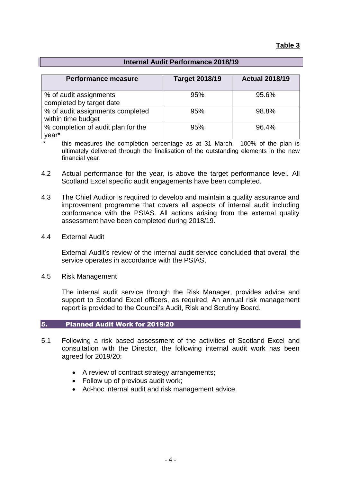# **Internal Audit Performance 2018/19**

| <b>Performance measure</b>                             | <b>Target 2018/19</b> | <b>Actual 2018/19</b> |
|--------------------------------------------------------|-----------------------|-----------------------|
| % of audit assignments<br>completed by target date     | 95%                   | 95.6%                 |
| % of audit assignments completed<br>within time budget | 95%                   | 98.8%                 |
| % completion of audit plan for the<br>year*            | 95%                   | 96.4%                 |

this measures the completion percentage as at 31 March. 100% of the plan is ultimately delivered through the finalisation of the outstanding elements in the new financial year.

- 4.2 Actual performance for the year, is above the target performance level. All Scotland Excel specific audit engagements have been completed.
- 4.3 The Chief Auditor is required to develop and maintain a quality assurance and improvement programme that covers all aspects of internal audit including conformance with the PSIAS. All actions arising from the external quality assessment have been completed during 2018/19.
- 4.4 External Audit

External Audit's review of the internal audit service concluded that overall the service operates in accordance with the PSIAS.

4.5 Risk Management

The internal audit service through the Risk Manager, provides advice and support to Scotland Excel officers, as required. An annual risk management report is provided to the Council's Audit, Risk and Scrutiny Board.

#### 5. Planned Audit Work for 2019/20

- 5.1 Following a risk based assessment of the activities of Scotland Excel and consultation with the Director, the following internal audit work has been agreed for 2019/20:
	- A review of contract strategy arrangements;
	- Follow up of previous audit work;
	- Ad-hoc internal audit and risk management advice.